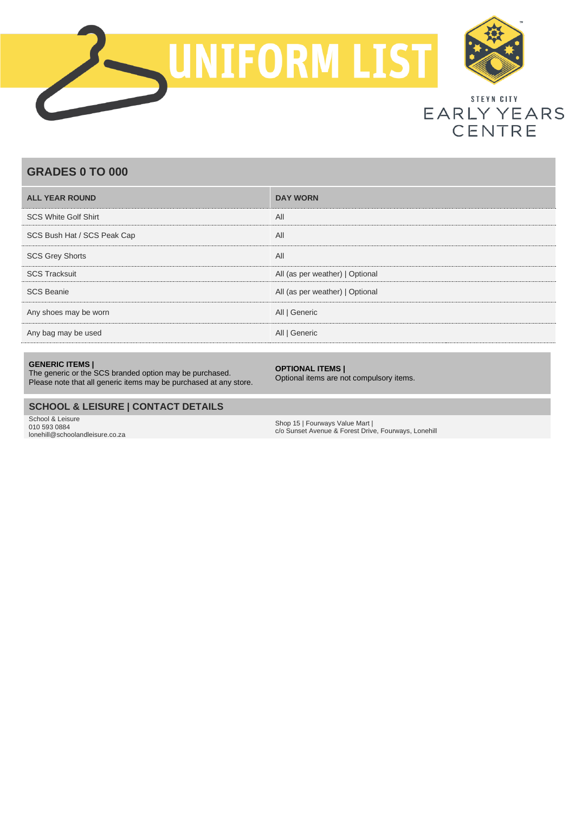



# STEYN CITY EARLY YEARS **CENTRE**

# **GRADES 0 TO 000**

| <b>ALL YEAR ROUND</b>       | <b>DAY WORN</b>                 |
|-----------------------------|---------------------------------|
| <b>SCS White Golf Shirt</b> | All                             |
| SCS Bush Hat / SCS Peak Cap | All                             |
| <b>SCS Grey Shorts</b>      | All                             |
| <b>SCS Tracksuit</b>        | All (as per weather)   Optional |
| <b>SCS Beanie</b>           | All (as per weather)   Optional |
| Any shoes may be worn       | All   Generic                   |
| Any bag may be used         | All   Generic                   |

#### **GENERIC ITEMS |**

The generic or the SCS branded option may be purchased. Please note that all generic items may be purchased at any store.

#### **OPTIONAL ITEMS |**

Optional items are not compulsory items.

## **SCHOOL & LEISURE | CONTACT DETAILS**

School & Leisure 010 593 0884 lonehill@schoolandleisure.co.za

Shop 15 | Fourways Value Mart | c/o Sunset Avenue & Forest Drive, Fourways, Lonehill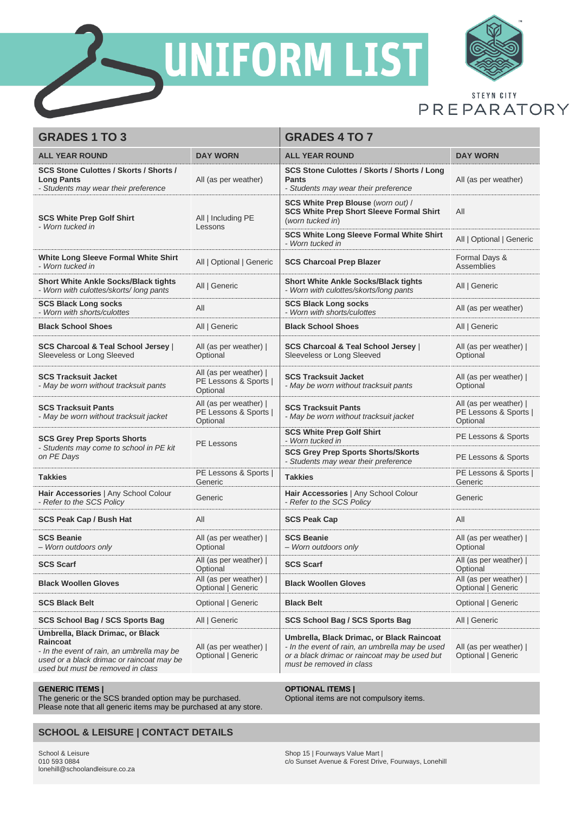

UNIFORM LIST



STEYN CITY PREPARATORY

| <b>GRADES 1 TO 3</b>                                                                                                                                                         |                                                             | <b>GRADES 4 TO 7</b>                                                                                                                                                      |                                                             |
|------------------------------------------------------------------------------------------------------------------------------------------------------------------------------|-------------------------------------------------------------|---------------------------------------------------------------------------------------------------------------------------------------------------------------------------|-------------------------------------------------------------|
| <b>ALL YEAR ROUND</b>                                                                                                                                                        | <b>DAY WORN</b>                                             | <b>ALL YEAR ROUND</b>                                                                                                                                                     | <b>DAY WORN</b>                                             |
| <b>SCS Stone Culottes / Skorts / Shorts /</b><br><b>Long Pants</b><br>- Students may wear their preference                                                                   | All (as per weather)                                        | <b>SCS Stone Culottes / Skorts / Shorts / Long</b><br><b>Pants</b><br>- Students may wear their preference                                                                | All (as per weather)                                        |
| <b>SCS White Prep Golf Shirt</b><br>- Worn tucked in                                                                                                                         | All   Including PE<br>Lessons                               | <b>SCS White Prep Blouse (worn out) /</b><br><b>SCS White Prep Short Sleeve Formal Shirt</b><br>(worn tucked in)                                                          | All                                                         |
|                                                                                                                                                                              |                                                             | <b>SCS White Long Sleeve Formal White Shirt</b><br>- Worn tucked in                                                                                                       | All   Optional   Generic                                    |
| White Long Sleeve Formal White Shirt<br>- Worn tucked in                                                                                                                     | All   Optional   Generic                                    | <b>SCS Charcoal Prep Blazer</b>                                                                                                                                           | Formal Days &<br><b>Assemblies</b>                          |
| <b>Short White Ankle Socks/Black tights</b><br>- Worn with culottes/skorts/long pants                                                                                        | All   Generic                                               | <b>Short White Ankle Socks/Black tights</b><br>- Worn with culottes/skorts/long pants                                                                                     | All   Generic                                               |
| <b>SCS Black Long socks</b><br>- Worn with shorts/culottes                                                                                                                   | All                                                         | <b>SCS Black Long socks</b><br>- Worn with shorts/culottes                                                                                                                | All (as per weather)                                        |
| <b>Black School Shoes</b>                                                                                                                                                    | All   Generic                                               | <b>Black School Shoes</b>                                                                                                                                                 | All   Generic                                               |
| <b>SCS Charcoal &amp; Teal School Jersey</b>  <br>Sleeveless or Long Sleeved                                                                                                 | All (as per weather)  <br>Optional                          | <b>SCS Charcoal &amp; Teal School Jersey  </b><br>Sleeveless or Long Sleeved                                                                                              | All (as per weather)  <br>Optional                          |
| <b>SCS Tracksuit Jacket</b><br>- May be worn without tracksuit pants                                                                                                         | All (as per weather)  <br>PE Lessons & Sports  <br>Optional | <b>SCS Tracksuit Jacket</b><br>- May be worn without tracksuit pants                                                                                                      | All (as per weather)  <br>Optional                          |
| <b>SCS Tracksuit Pants</b><br>- May be worn without tracksuit jacket                                                                                                         | All (as per weather)  <br>PE Lessons & Sports  <br>Optional | <b>SCS Tracksuit Pants</b><br>- May be worn without tracksuit jacket                                                                                                      | All (as per weather)  <br>PE Lessons & Sports  <br>Optional |
| <b>SCS Grey Prep Sports Shorts</b>                                                                                                                                           | PE Lessons                                                  | <b>SCS White Prep Golf Shirt</b><br>- Worn tucked in                                                                                                                      | PE Lessons & Sports                                         |
| - Students may come to school in PE kit<br>on PE Days                                                                                                                        |                                                             | <b>SCS Grey Prep Sports Shorts/Skorts</b><br>- Students may wear their preference                                                                                         | PE Lessons & Sports                                         |
| <b>Takkies</b>                                                                                                                                                               | PE Lessons & Sports  <br>Generic                            | <b>Takkies</b>                                                                                                                                                            | PE Lessons & Sports  <br>Generic                            |
| Hair Accessories   Any School Colour<br>- Refer to the SCS Policy                                                                                                            | Generic                                                     | Hair Accessories   Any School Colour<br>- Refer to the SCS Policy                                                                                                         | Generic                                                     |
| <b>SCS Peak Cap / Bush Hat</b>                                                                                                                                               | All                                                         | <b>SCS Peak Cap</b>                                                                                                                                                       | All                                                         |
| <b>SCS Beanie</b><br>- Worn outdoors only                                                                                                                                    | All (as per weather)  <br>Optional                          | <b>SCS Beanie</b><br>- Worn outdoors only                                                                                                                                 | All (as per weather)  <br>Optional                          |
| <b>SCS Scarf</b>                                                                                                                                                             | All (as per weather)  <br>Optional                          | <b>SCS Scarf</b>                                                                                                                                                          | All (as per weather)  <br>Optional                          |
| <b>Black Woollen Gloves</b>                                                                                                                                                  | All (as per weather)  <br>Optional   Generic                | <b>Black Woollen Gloves</b>                                                                                                                                               | All (as per weather)  <br>Optional   Generic                |
| <b>SCS Black Belt</b>                                                                                                                                                        | Optional   Generic                                          | <b>Black Belt</b>                                                                                                                                                         | Optional   Generic                                          |
| <b>SCS School Bag / SCS Sports Bag</b>                                                                                                                                       | All   Generic                                               | <b>SCS School Bag / SCS Sports Bag</b>                                                                                                                                    | All   Generic                                               |
| Umbrella, Black Drimac, or Black<br>Raincoat<br>- In the event of rain, an umbrella may be<br>used or a black drimac or raincoat may be<br>used but must be removed in class | All (as per weather)  <br>Optional   Generic                | Umbrella, Black Drimac, or Black Raincoat<br>- In the event of rain, an umbrella may be used<br>or a black drimac or raincoat may be used but<br>must be removed in class | All (as per weather)  <br>Optional   Generic                |

### **GENERIC ITEMS |**

The generic or the SCS branded option may be purchased. Please note that all generic items may be purchased at any store.

## **SCHOOL & LEISURE | CONTACT DETAILS**

School & Leisure 010 593 0884 lonehill@schoolandleisure.co.za

#### **OPTIONAL ITEMS |**

Optional items are not compulsory items.

Shop 15 | Fourways Value Mart | c/o Sunset Avenue & Forest Drive, Fourways, Lonehill